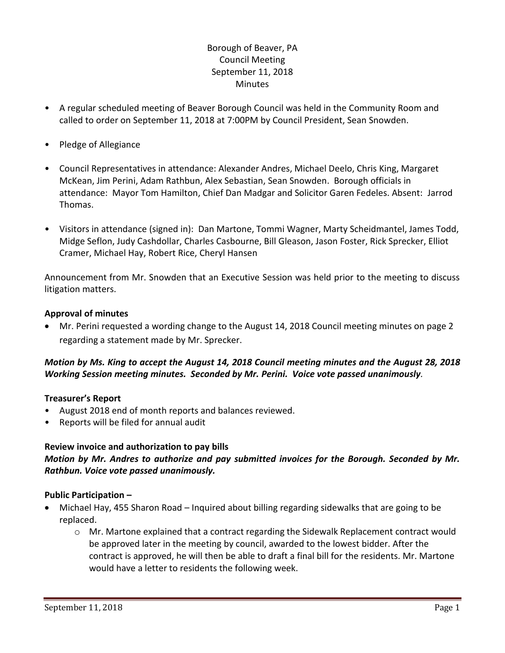# Borough of Beaver, PA Council Meeting September 11, 2018 **Minutes**

- A regular scheduled meeting of Beaver Borough Council was held in the Community Room and called to order on September 11, 2018 at 7:00PM by Council President, Sean Snowden.
- Pledge of Allegiance
- Council Representatives in attendance: Alexander Andres, Michael Deelo, Chris King, Margaret McKean, Jim Perini, Adam Rathbun, Alex Sebastian, Sean Snowden. Borough officials in attendance: Mayor Tom Hamilton, Chief Dan Madgar and Solicitor Garen Fedeles. Absent: Jarrod Thomas.
- Visitors in attendance (signed in): Dan Martone, Tommi Wagner, Marty Scheidmantel, James Todd, Midge Seflon, Judy Cashdollar, Charles Casbourne, Bill Gleason, Jason Foster, Rick Sprecker, Elliot Cramer, Michael Hay, Robert Rice, Cheryl Hansen

Announcement from Mr. Snowden that an Executive Session was held prior to the meeting to discuss litigation matters.

### **Approval of minutes**

 Mr. Perini requested a wording change to the August 14, 2018 Council meeting minutes on page 2 regarding a statement made by Mr. Sprecker.

# *Motion by Ms. King to accept the August 14, 2018 Council meeting minutes and the August 28, 2018 Working Session meeting minutes. Seconded by Mr. Perini. Voice vote passed unanimously.*

#### **Treasurer's Report**

- August 2018 end of month reports and balances reviewed.
- Reports will be filed for annual audit

# **Review invoice and authorization to pay bills**

*Motion by Mr. Andres to authorize and pay submitted invoices for the Borough. Seconded by Mr. Rathbun. Voice vote passed unanimously.*

# **Public Participation –**

- Michael Hay, 455 Sharon Road Inquired about billing regarding sidewalks that are going to be replaced.
	- $\circ$  Mr. Martone explained that a contract regarding the Sidewalk Replacement contract would be approved later in the meeting by council, awarded to the lowest bidder. After the contract is approved, he will then be able to draft a final bill for the residents. Mr. Martone would have a letter to residents the following week.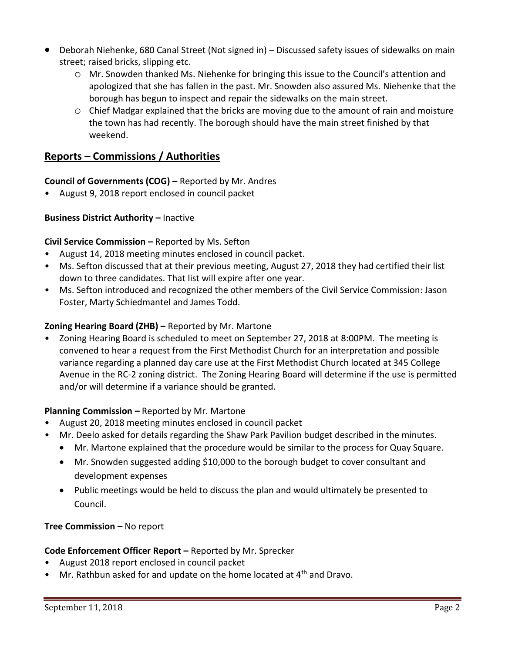- Deborah Niehenke, 680 Canal Street (Not signed in) Discussed safety issues of sidewalks on main street; raised bricks, slipping etc.
	- o Mr. Snowden thanked Ms. Niehenke for bringing this issue to the Council's attention and apologized that she has fallen in the past. Mr. Snowden also assured Ms. Niehenke that the borough has begun to inspect and repair the sidewalks on the main street.
	- o Chief Madgar explained that the bricks are moving due to the amount of rain and moisture the town has had recently. The borough should have the main street finished by that weekend.

# **Reports – Commissions / Authorities**

# **Council of Governments (COG) –** Reported by Mr. Andres

• August 9, 2018 report enclosed in council packet

# **Business District Authority - Inactive**

# **Civil Service Commission –** Reported by Ms. Sefton

- August 14, 2018 meeting minutes enclosed in council packet.
- Ms. Sefton discussed that at their previous meeting, August 27, 2018 they had certified their list down to three candidates. That list will expire after one year.
- Ms. Sefton introduced and recognized the other members of the Civil Service Commission: Jason Foster, Marty Schiedmantel and James Todd.

# **Zoning Hearing Board (ZHB) –** Reported by Mr. Martone

• Zoning Hearing Board is scheduled to meet on September 27, 2018 at 8:00PM. The meeting is convened to hear a request from the First Methodist Church for an interpretation and possible variance regarding a planned day care use at the First Methodist Church located at 345 College Avenue in the RC-2 zoning district. The Zoning Hearing Board will determine if the use is permitted and/or will determine if a variance should be granted.

# **Planning Commission –** Reported by Mr. Martone

- August 20, 2018 meeting minutes enclosed in council packet
- Mr. Deelo asked for details regarding the Shaw Park Pavilion budget described in the minutes.
	- Mr. Martone explained that the procedure would be similar to the process for Quay Square.
	- Mr. Snowden suggested adding \$10,000 to the borough budget to cover consultant and development expenses
	- Public meetings would be held to discuss the plan and would ultimately be presented to Council.

# **Tree Commission –** No report

# **Code Enforcement Officer Report –** Reported by Mr. Sprecker

- August 2018 report enclosed in council packet
- Mr. Rathbun asked for and update on the home located at 4<sup>th</sup> and Dravo.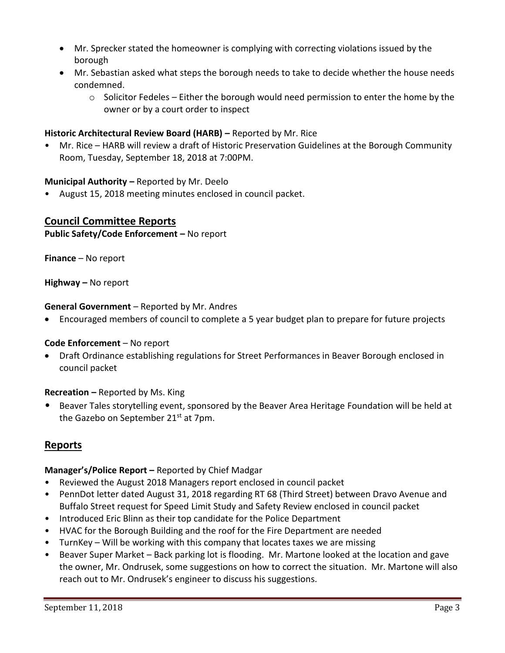- Mr. Sprecker stated the homeowner is complying with correcting violations issued by the borough
- Mr. Sebastian asked what steps the borough needs to take to decide whether the house needs condemned.
	- $\circ$  Solicitor Fedeles Either the borough would need permission to enter the home by the owner or by a court order to inspect

# **Historic Architectural Review Board (HARB) –** Reported by Mr. Rice

• Mr. Rice – HARB will review a draft of Historic Preservation Guidelines at the Borough Community Room, Tuesday, September 18, 2018 at 7:00PM.

### **Municipal Authority –** Reported by Mr. Deelo

• August 15, 2018 meeting minutes enclosed in council packet.

# **Council Committee Reports**

#### **Public Safety/Code Enforcement –** No report

**Finance** – No report

**Highway –** No report

#### **General Government** – Reported by Mr. Andres

Encouraged members of council to complete a 5 year budget plan to prepare for future projects

#### **Code Enforcement** – No report

 Draft Ordinance establishing regulations for Street Performances in Beaver Borough enclosed in council packet

#### **Recreation –** Reported by Ms. King

• Beaver Tales storytelling event, sponsored by the Beaver Area Heritage Foundation will be held at the Gazebo on September  $21^{st}$  at 7pm.

# **Reports**

# **Manager's/Police Report –** Reported by Chief Madgar

- Reviewed the August 2018 Managers report enclosed in council packet
- PennDot letter dated August 31, 2018 regarding RT 68 (Third Street) between Dravo Avenue and Buffalo Street request for Speed Limit Study and Safety Review enclosed in council packet
- Introduced Eric Blinn as their top candidate for the Police Department
- HVAC for the Borough Building and the roof for the Fire Department are needed
- TurnKey Will be working with this company that locates taxes we are missing
- Beaver Super Market Back parking lot is flooding. Mr. Martone looked at the location and gave the owner, Mr. Ondrusek, some suggestions on how to correct the situation. Mr. Martone will also reach out to Mr. Ondrusek's engineer to discuss his suggestions.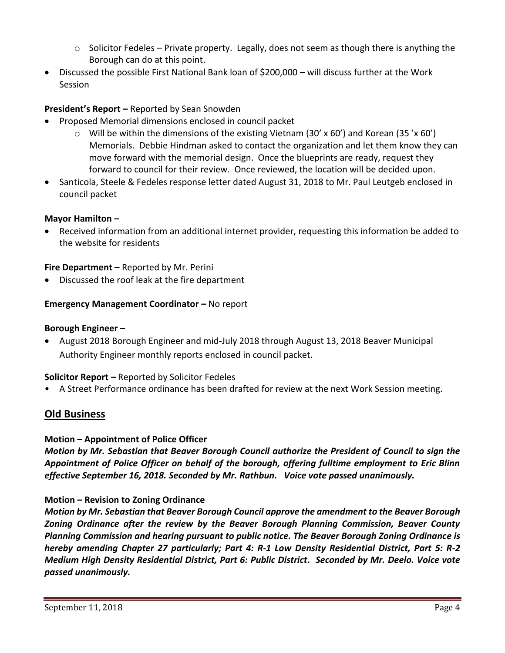- $\circ$  Solicitor Fedeles Private property. Legally, does not seem as though there is anything the Borough can do at this point.
- Discussed the possible First National Bank loan of \$200,000 will discuss further at the Work Session

# **President's Report –** Reported by Sean Snowden

- Proposed Memorial dimensions enclosed in council packet
	- $\circ$  Will be within the dimensions of the existing Vietnam (30' x 60') and Korean (35' x 60') Memorials. Debbie Hindman asked to contact the organization and let them know they can move forward with the memorial design. Once the blueprints are ready, request they forward to council for their review. Once reviewed, the location will be decided upon.
- Santicola, Steele & Fedeles response letter dated August 31, 2018 to Mr. Paul Leutgeb enclosed in council packet

# **Mayor Hamilton –**

 Received information from an additional internet provider, requesting this information be added to the website for residents

# **Fire Department** – Reported by Mr. Perini

Discussed the roof leak at the fire department

# **Emergency Management Coordinator – No report**

# **Borough Engineer –**

 August 2018 Borough Engineer and mid-July 2018 through August 13, 2018 Beaver Municipal Authority Engineer monthly reports enclosed in council packet.

# **Solicitor Report –** Reported by Solicitor Fedeles

• A Street Performance ordinance has been drafted for review at the next Work Session meeting.

# **Old Business**

# **Motion – Appointment of Police Officer**

*Motion by Mr. Sebastian that Beaver Borough Council authorize the President of Council to sign the Appointment of Police Officer on behalf of the borough, offering fulltime employment to Eric Blinn effective September 16, 2018. Seconded by Mr. Rathbun. Voice vote passed unanimously.* 

# **Motion – Revision to Zoning Ordinance**

*Motion by Mr. Sebastian that Beaver Borough Council approve the amendment to the Beaver Borough Zoning Ordinance after the review by the Beaver Borough Planning Commission, Beaver County Planning Commission and hearing pursuant to public notice. The Beaver Borough Zoning Ordinance is hereby amending Chapter 27 particularly; Part 4: R-1 Low Density Residential District, Part 5: R-2 Medium High Density Residential District, Part 6: Public District. Seconded by Mr. Deelo. Voice vote passed unanimously.*